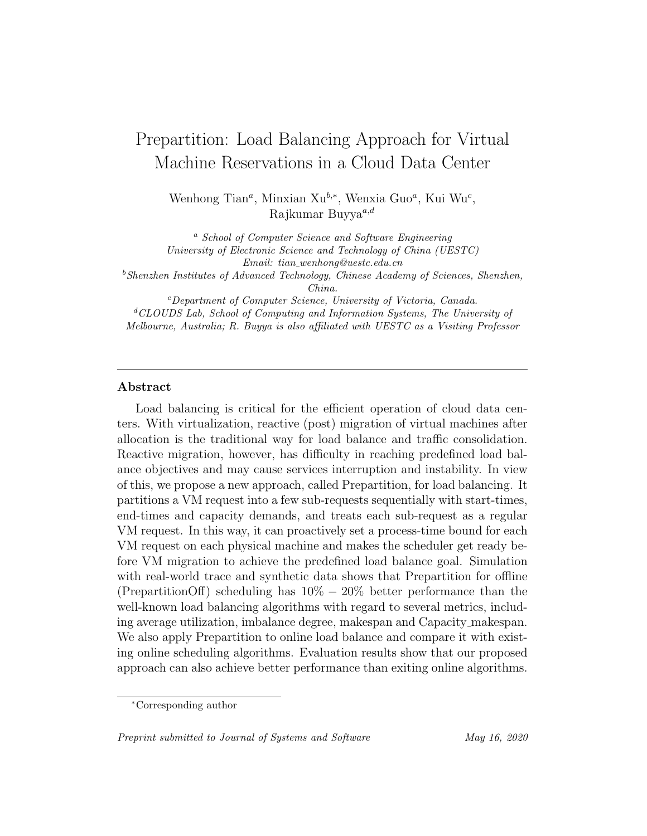# Prepartition: Load Balancing Approach for Virtual Machine Reservations in a Cloud Data Center

Wenhong Tian<sup>*a*</sup>, Minxian Xu<sup>b,\*</sup>, Wenxia Guo<sup>*a*</sup>, Kui Wu<sup>c</sup>, Rajkumar Buyya $a,d$ 

<sup>a</sup> School of Computer Science and Software Engineering University of Electronic Science and Technology of China (UESTC) Email: tian wenhong@uestc.edu.cn  $^{b}$ Shenzhen Institutes of Advanced Technology, Chinese Academy of Sciences, Shenzhen, China. <sup>c</sup>Department of Computer Science, University of Victoria, Canada.  ${}^dCLOUDS$  Lab, School of Computing and Information Systems, The University of Melbourne, Australia; R. Buyya is also affiliated with UESTC as a Visiting Professor

## Abstract

Load balancing is critical for the efficient operation of cloud data centers. With virtualization, reactive (post) migration of virtual machines after allocation is the traditional way for load balance and traffic consolidation. Reactive migration, however, has difficulty in reaching predefined load balance objectives and may cause services interruption and instability. In view of this, we propose a new approach, called Prepartition, for load balancing. It partitions a VM request into a few sub-requests sequentially with start-times, end-times and capacity demands, and treats each sub-request as a regular VM request. In this way, it can proactively set a process-time bound for each VM request on each physical machine and makes the scheduler get ready before VM migration to achieve the predefined load balance goal. Simulation with real-world trace and synthetic data shows that Prepartition for offline (PrepartitionOff) scheduling has  $10\% - 20\%$  better performance than the well-known load balancing algorithms with regard to several metrics, including average utilization, imbalance degree, makespan and Capacity makespan. We also apply Prepartition to online load balance and compare it with existing online scheduling algorithms. Evaluation results show that our proposed approach can also achieve better performance than exiting online algorithms.

Preprint submitted to Journal of Systems and Software May 16, 2020

<sup>∗</sup>Corresponding author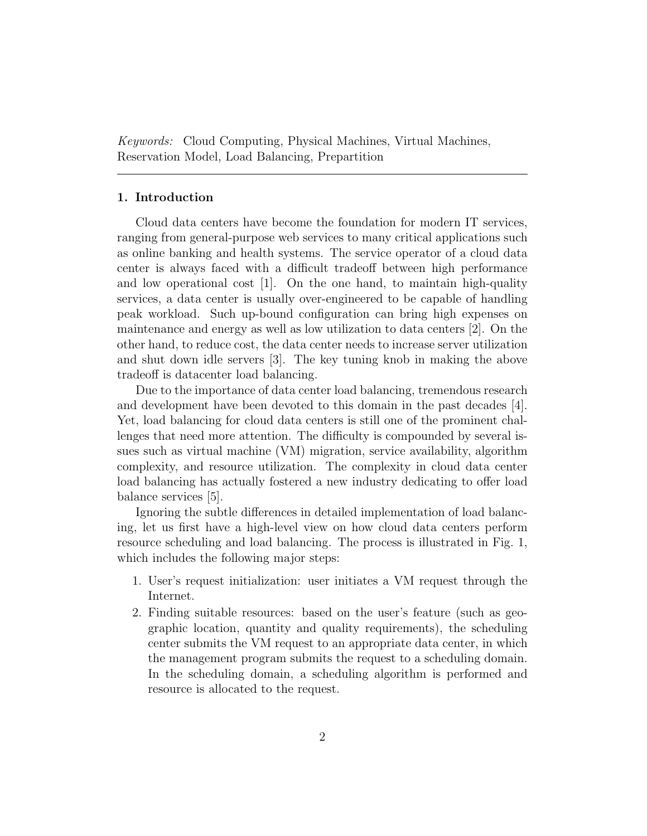Keywords: Cloud Computing, Physical Machines, Virtual Machines, Reservation Model, Load Balancing, Prepartition

# 1. Introduction

Cloud data centers have become the foundation for modern IT services, ranging from general-purpose web services to many critical applications such as online banking and health systems. The service operator of a cloud data center is always faced with a difficult tradeoff between high performance and low operational cost  $[1]$ . On the one hand, to maintain high-quality services, a data center is usually over-engineered to be capable of handling peak workload. Such up-bound configuration can bring high expenses on maintenance and energy as well as low utilization to data centers [2]. On the other hand, to reduce cost, the data center needs to increase server utilization and shut down idle servers [3]. The key tuning knob in making the above tradeoff is datacenter load balancing.

Due to the importance of data center load balancing, tremendous research and development have been devoted to this domain in the past decades [4]. Yet, load balancing for cloud data centers is still one of the prominent challenges that need more attention. The difficulty is compounded by several issues such as virtual machine (VM) migration, service availability, algorithm complexity, and resource utilization. The complexity in cloud data center load balancing has actually fostered a new industry dedicating to offer load balance services [5].

Ignoring the subtle differences in detailed implementation of load balancing, let us first have a high-level view on how cloud data centers perform resource scheduling and load balancing. The process is illustrated in Fig. 1, which includes the following major steps:

- 1. User's request initialization: user initiates a VM request through the Internet.
- 2. Finding suitable resources: based on the user's feature (such as geographic location, quantity and quality requirements), the scheduling center submits the VM request to an appropriate data center, in which the management program submits the request to a scheduling domain. In the scheduling domain, a scheduling algorithm is performed and resource is allocated to the request.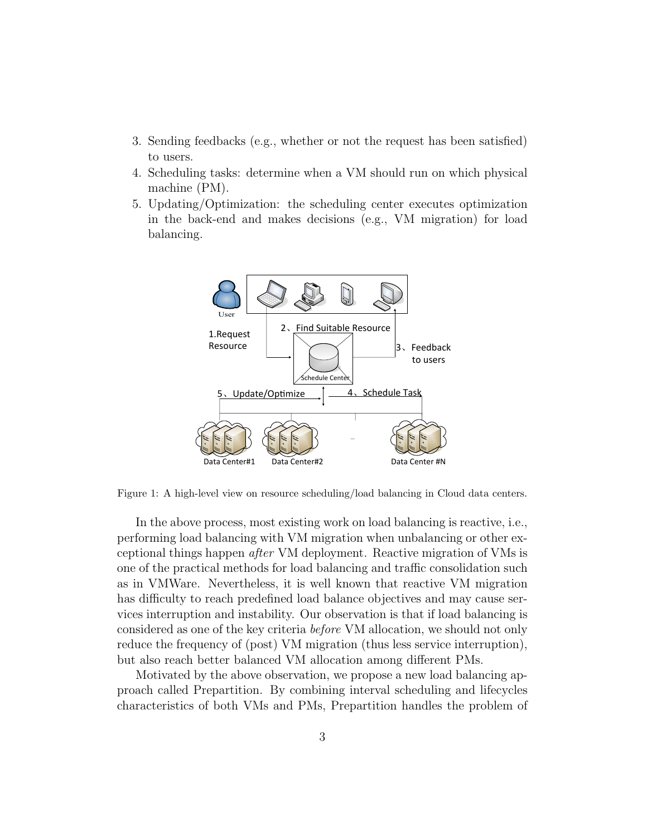- 3. Sending feedbacks (e.g., whether or not the request has been satisfied) to users.
- 4. Scheduling tasks: determine when a VM should run on which physical machine (PM).
- 5. Updating/Optimization: the scheduling center executes optimization in the back-end and makes decisions (e.g., VM migration) for load balancing.



Figure 1: A high-level view on resource scheduling/load balancing in Cloud data centers.

In the above process, most existing work on load balancing is reactive, i.e., performing load balancing with VM migration when unbalancing or other exceptional things happen after VM deployment. Reactive migration of VMs is one of the practical methods for load balancing and traffic consolidation such as in VMWare. Nevertheless, it is well known that reactive VM migration has difficulty to reach predefined load balance objectives and may cause services interruption and instability. Our observation is that if load balancing is considered as one of the key criteria before VM allocation, we should not only reduce the frequency of (post) VM migration (thus less service interruption), but also reach better balanced VM allocation among different PMs.

Motivated by the above observation, we propose a new load balancing approach called Prepartition. By combining interval scheduling and lifecycles characteristics of both VMs and PMs, Prepartition handles the problem of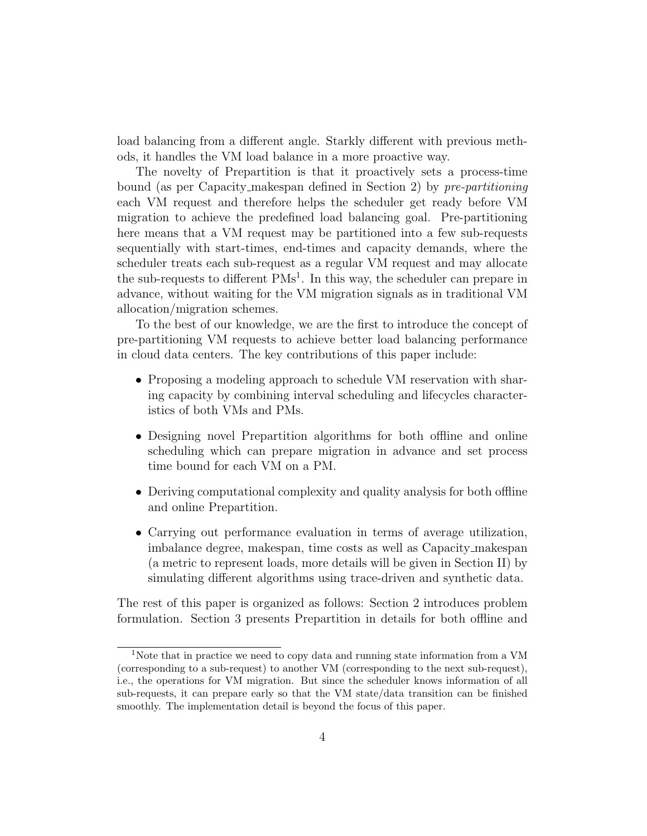load balancing from a different angle. Starkly different with previous methods, it handles the VM load balance in a more proactive way.

The novelty of Prepartition is that it proactively sets a process-time bound (as per Capacity makespan defined in Section 2) by pre-partitioning each VM request and therefore helps the scheduler get ready before VM migration to achieve the predefined load balancing goal. Pre-partitioning here means that a VM request may be partitioned into a few sub-requests sequentially with start-times, end-times and capacity demands, where the scheduler treats each sub-request as a regular VM request and may allocate the sub-requests to different  $PMs<sup>1</sup>$ . In this way, the scheduler can prepare in advance, without waiting for the VM migration signals as in traditional VM allocation/migration schemes.

To the best of our knowledge, we are the first to introduce the concept of pre-partitioning VM requests to achieve better load balancing performance in cloud data centers. The key contributions of this paper include:

- Proposing a modeling approach to schedule VM reservation with sharing capacity by combining interval scheduling and lifecycles characteristics of both VMs and PMs.
- Designing novel Prepartition algorithms for both offline and online scheduling which can prepare migration in advance and set process time bound for each VM on a PM.
- Deriving computational complexity and quality analysis for both offline and online Prepartition.
- Carrying out performance evaluation in terms of average utilization, imbalance degree, makespan, time costs as well as Capacity makespan (a metric to represent loads, more details will be given in Section II) by simulating different algorithms using trace-driven and synthetic data.

The rest of this paper is organized as follows: Section 2 introduces problem formulation. Section 3 presents Prepartition in details for both offline and

<sup>1</sup>Note that in practice we need to copy data and running state information from a VM (corresponding to a sub-request) to another VM (corresponding to the next sub-request), i.e., the operations for VM migration. But since the scheduler knows information of all sub-requests, it can prepare early so that the VM state/data transition can be finished smoothly. The implementation detail is beyond the focus of this paper.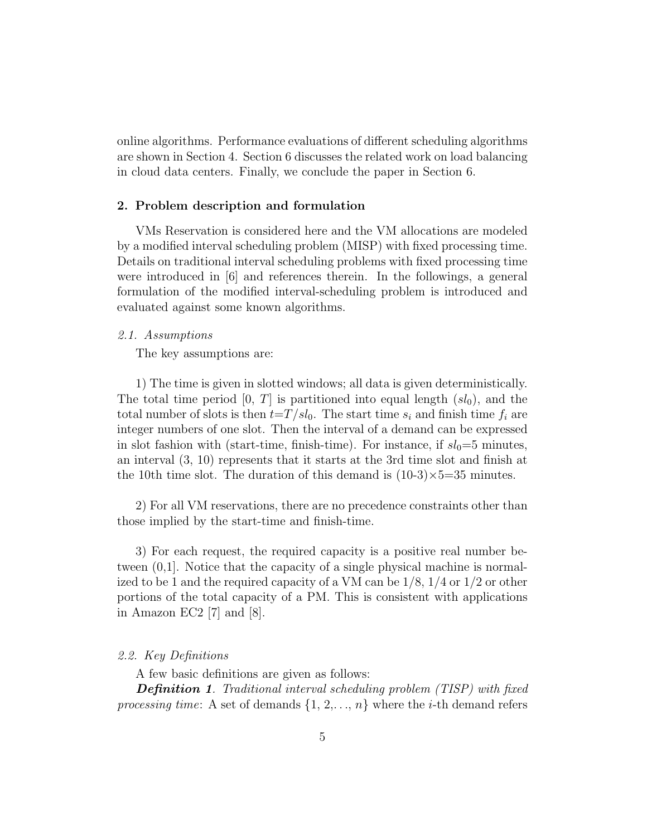online algorithms. Performance evaluations of different scheduling algorithms are shown in Section 4. Section 6 discusses the related work on load balancing in cloud data centers. Finally, we conclude the paper in Section 6.

#### 2. Problem description and formulation

VMs Reservation is considered here and the VM allocations are modeled by a modified interval scheduling problem (MISP) with fixed processing time. Details on traditional interval scheduling problems with fixed processing time were introduced in [6] and references therein. In the followings, a general formulation of the modified interval-scheduling problem is introduced and evaluated against some known algorithms.

#### 2.1. Assumptions

The key assumptions are:

1) The time is given in slotted windows; all data is given deterministically. The total time period  $[0, T]$  is partitioned into equal length  $(sl_0)$ , and the total number of slots is then  $t=T/sl_0$ . The start time  $s_i$  and finish time  $f_i$  are integer numbers of one slot. Then the interval of a demand can be expressed in slot fashion with (start-time, finish-time). For instance, if  $sl_0=5$  minutes, an interval (3, 10) represents that it starts at the 3rd time slot and finish at the 10th time slot. The duration of this demand is  $(10-3) \times 5=35$  minutes.

2) For all VM reservations, there are no precedence constraints other than those implied by the start-time and finish-time.

3) For each request, the required capacity is a positive real number between (0,1]. Notice that the capacity of a single physical machine is normalized to be 1 and the required capacity of a VM can be 1/8, 1/4 or 1/2 or other portions of the total capacity of a PM. This is consistent with applications in Amazon EC2 [7] and [8].

# 2.2. Key Definitions

A few basic definitions are given as follows:

**Definition 1.** Traditional interval scheduling problem (TISP) with fixed processing time: A set of demands  $\{1, 2, \ldots, n\}$  where the *i*-th demand refers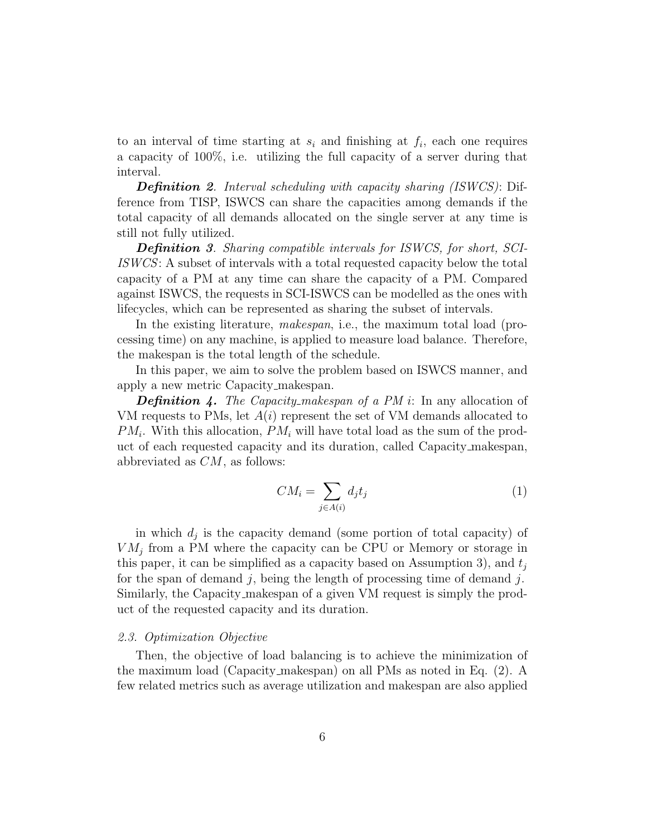to an interval of time starting at  $s_i$  and finishing at  $f_i$ , each one requires a capacity of 100%, i.e. utilizing the full capacity of a server during that interval.

**Definition 2.** Interval scheduling with capacity sharing (ISWCS): Difference from TISP, ISWCS can share the capacities among demands if the total capacity of all demands allocated on the single server at any time is still not fully utilized.

**Definition 3.** Sharing compatible intervals for ISWCS, for short, SCI-ISWCS: A subset of intervals with a total requested capacity below the total capacity of a PM at any time can share the capacity of a PM. Compared against ISWCS, the requests in SCI-ISWCS can be modelled as the ones with lifecycles, which can be represented as sharing the subset of intervals.

In the existing literature, *makespan*, i.e., the maximum total load (processing time) on any machine, is applied to measure load balance. Therefore, the makespan is the total length of the schedule.

In this paper, we aim to solve the problem based on ISWCS manner, and apply a new metric Capacity makespan.

**Definition 4.** The Capacity makespan of a PM i: In any allocation of VM requests to PMs, let  $A(i)$  represent the set of VM demands allocated to  $PM_i$ . With this allocation,  $PM_i$  will have total load as the sum of the product of each requested capacity and its duration, called Capacity makespan, abbreviated as  $CM$ , as follows:

$$
CM_i = \sum_{j \in A(i)} d_j t_j \tag{1}
$$

in which  $d_j$  is the capacity demand (some portion of total capacity) of  $VM_j$  from a PM where the capacity can be CPU or Memory or storage in this paper, it can be simplified as a capacity based on Assumption 3), and  $t_i$ for the span of demand j, being the length of processing time of demand j. Similarly, the Capacity makespan of a given VM request is simply the product of the requested capacity and its duration.

#### 2.3. Optimization Objective

Then, the objective of load balancing is to achieve the minimization of the maximum load (Capacity makespan) on all PMs as noted in Eq. (2). A few related metrics such as average utilization and makespan are also applied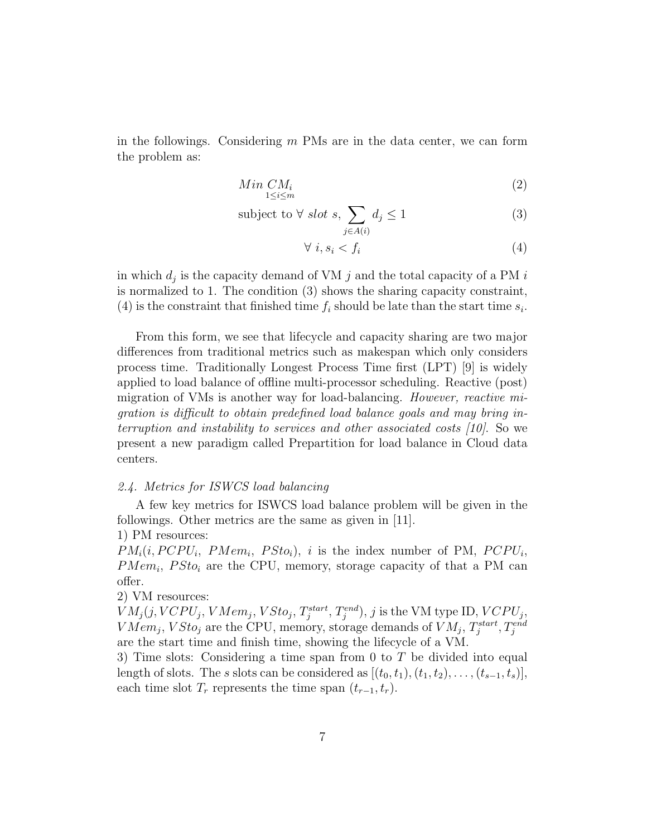in the followings. Considering  $m$  PMs are in the data center, we can form the problem as:

$$
Min\; CM_i\\ 1 \le i \le m} \tag{2}
$$

subject to 
$$
\forall
$$
 slot *s*,  $\sum_{j \in A(i)} d_j \le 1$  (3)

$$
\forall i, s_i < f_i \tag{4}
$$

in which  $d_j$  is the capacity demand of VM j and the total capacity of a PM i is normalized to 1. The condition (3) shows the sharing capacity constraint, (4) is the constraint that finished time  $f_i$  should be late than the start time  $s_i$ .

From this form, we see that lifecycle and capacity sharing are two major differences from traditional metrics such as makespan which only considers process time. Traditionally Longest Process Time first (LPT) [9] is widely applied to load balance of offline multi-processor scheduling. Reactive (post) migration of VMs is another way for load-balancing. *However, reactive mi*gration is difficult to obtain predefined load balance goals and may bring interruption and instability to services and other associated costs [10]. So we present a new paradigm called Prepartition for load balance in Cloud data centers.

#### 2.4. Metrics for ISWCS load balancing

A few key metrics for ISWCS load balance problem will be given in the followings. Other metrics are the same as given in [11].

# 1) PM resources:

 $PM_i(i, PCPU_i, PMem_i, PSto_i), i$  is the index number of PM,  $PCPU_i$ ,  $PMem_i$ ,  $PSto_i$  are the CPU, memory, storage capacity of that a PM can offer.

# 2) VM resources:

 $VM_j(j, VCPU_j, VMem_j, VSto_j, T_j^{start}, T_j^{end}), j$  is the VM type ID,  $VCPU_j$ ,  $VMem_j, VSto_j$  are the CPU, memory, storage demands of  $VM_j$ ,  $T_j^{start}, T_j^{end}$ are the start time and finish time, showing the lifecycle of a VM.

3) Time slots: Considering a time span from 0 to  $T$  be divided into equal length of slots. The s slots can be considered as  $[(t_0, t_1), (t_1, t_2), \ldots, (t_{s-1}, t_s)],$ each time slot  $T_r$  represents the time span  $(t_{r-1}, t_r)$ .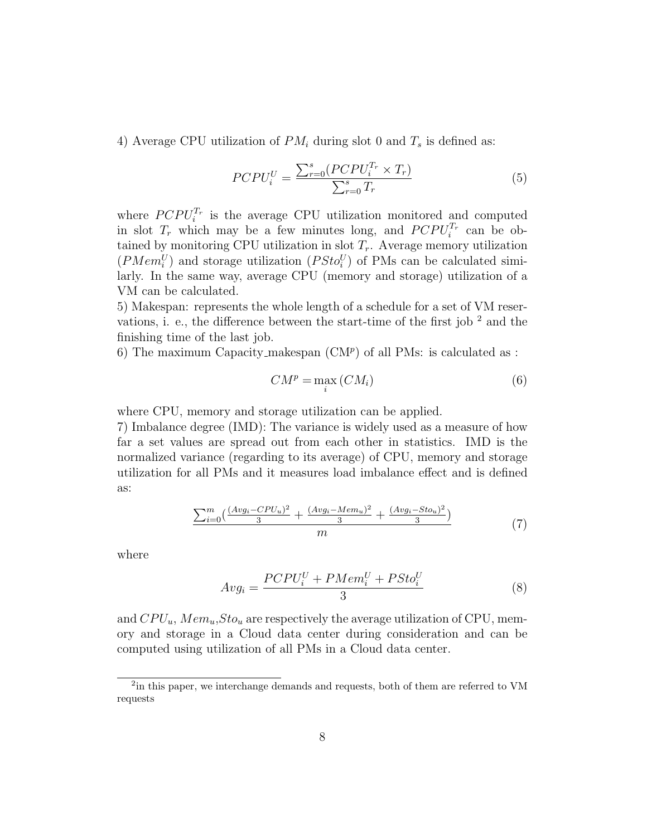4) Average CPU utilization of  $PM_i$  during slot 0 and  $T_s$  is defined as:

$$
PCPU_i^U = \frac{\sum_{r=0}^s (PCPU_i^{T_r} \times T_r)}{\sum_{r=0}^s T_r}
$$
(5)

where  $PCPU_i^{T_r}$  is the average CPU utilization monitored and computed in slot  $T_r$  which may be a few minutes long, and  $PCPU_i^{T_r}$  can be obtained by monitoring CPU utilization in slot  $T_r$ . Average memory utilization  $(PMem_i^U)$  and storage utilization  $(PSto_i^U)$  of PMs can be calculated similarly. In the same way, average CPU (memory and storage) utilization of a VM can be calculated.

5) Makespan: represents the whole length of a schedule for a set of VM reservations, i. e., the difference between the start-time of the first job  $^2$  and the finishing time of the last job.

6) The maximum Capacity\_makespan  $(CM<sup>p</sup>)$  of all PMs: is calculated as :

$$
CM^{p} = \max_{i} (CM_{i})
$$
 (6)

where CPU, memory and storage utilization can be applied.

7) Imbalance degree (IMD): The variance is widely used as a measure of how far a set values are spread out from each other in statistics. IMD is the normalized variance (regarding to its average) of CPU, memory and storage utilization for all PMs and it measures load imbalance effect and is defined as:

$$
\frac{\sum_{i=0}^{m} \left( \frac{(Avg_i - CPU_u)^2}{3} + \frac{(Avg_i - Mem_u)^2}{3} + \frac{(Avg_i - Sto_u)^2}{3} \right)}{m}
$$
(7)

where

$$
Avg_i = \frac{PCPU_i^U + PMem_i^U + PSto_i^U}{3} \tag{8}
$$

and  $CPU_u, Mem_u, Sto_u$  are respectively the average utilization of CPU, memory and storage in a Cloud data center during consideration and can be computed using utilization of all PMs in a Cloud data center.

<sup>&</sup>lt;sup>2</sup>in this paper, we interchange demands and requests, both of them are referred to VM requests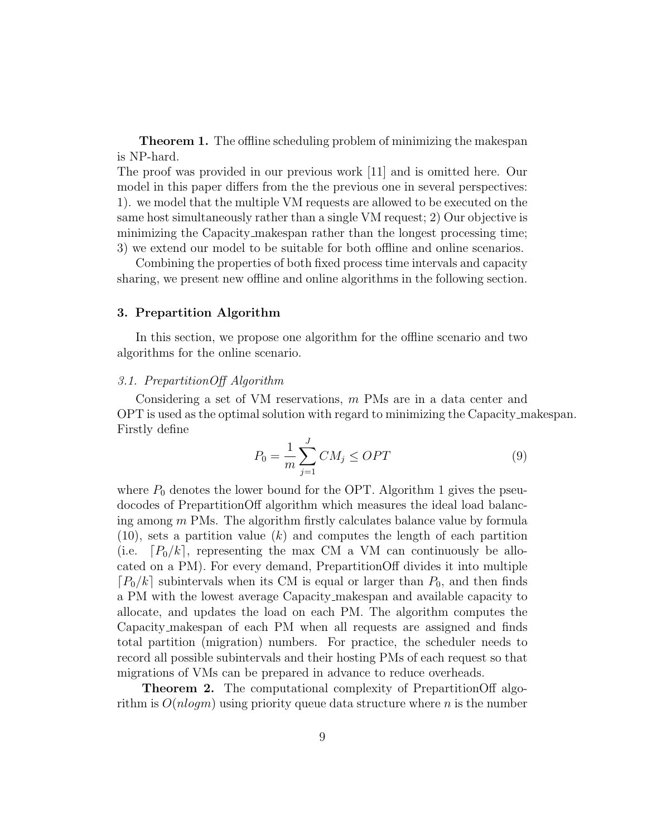**Theorem 1.** The offline scheduling problem of minimizing the makespan is NP-hard.

The proof was provided in our previous work [11] and is omitted here. Our model in this paper differs from the the previous one in several perspectives: 1). we model that the multiple VM requests are allowed to be executed on the same host simultaneously rather than a single VM request; 2) Our objective is minimizing the Capacity makespan rather than the longest processing time; 3) we extend our model to be suitable for both offline and online scenarios.

Combining the properties of both fixed process time intervals and capacity sharing, we present new offline and online algorithms in the following section.

#### 3. Prepartition Algorithm

In this section, we propose one algorithm for the offline scenario and two algorithms for the online scenario.

#### 3.1. PrepartitionOff Algorithm

Considering a set of VM reservations, m PMs are in a data center and OPT is used as the optimal solution with regard to minimizing the Capacity makespan. Firstly define

$$
P_0 = \frac{1}{m} \sum_{j=1}^{J} CM_j \le OPT
$$
\n(9)

where  $P_0$  denotes the lower bound for the OPT. Algorithm 1 gives the pseudocodes of PrepartitionOff algorithm which measures the ideal load balancing among  $m$  PMs. The algorithm firstly calculates balance value by formula  $(10)$ , sets a partition value  $(k)$  and computes the length of each partition (i.e.  $[P_0/k]$ , representing the max CM a VM can continuously be allocated on a PM). For every demand, PrepartitionOff divides it into multiple  $[P_0/k]$  subintervals when its CM is equal or larger than  $P_0$ , and then finds a PM with the lowest average Capacity makespan and available capacity to allocate, and updates the load on each PM. The algorithm computes the Capacity makespan of each PM when all requests are assigned and finds total partition (migration) numbers. For practice, the scheduler needs to record all possible subintervals and their hosting PMs of each request so that migrations of VMs can be prepared in advance to reduce overheads.

Theorem 2. The computational complexity of PrepartitionOff algorithm is  $O(n \log m)$  using priority queue data structure where n is the number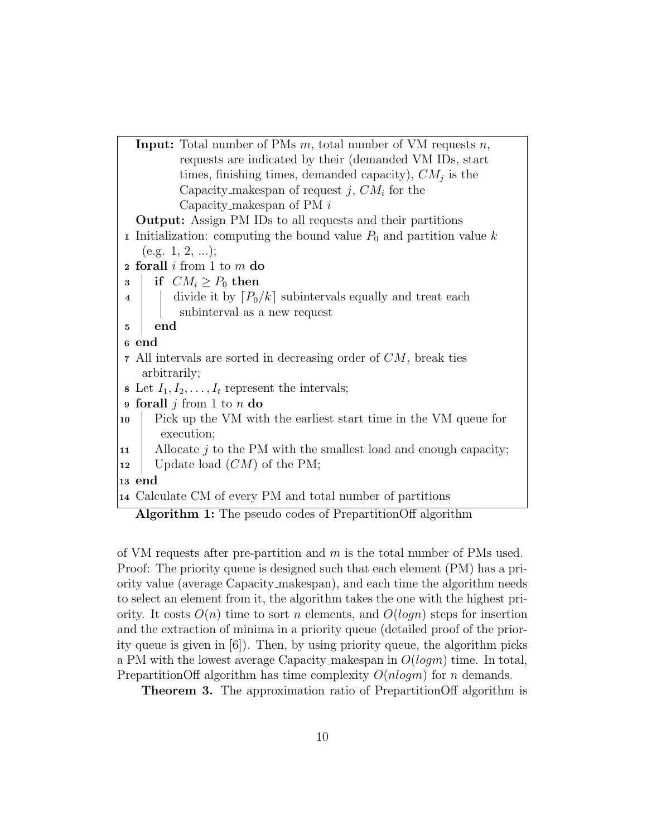

of VM requests after pre-partition and  $m$  is the total number of PMs used. Proof: The priority queue is designed such that each element (PM) has a priority value (average Capacity makespan), and each time the algorithm needs to select an element from it, the algorithm takes the one with the highest priority. It costs  $O(n)$  time to sort n elements, and  $O(logn)$  steps for insertion and the extraction of minima in a priority queue (detailed proof of the priority queue is given in [6]). Then, by using priority queue, the algorithm picks a PM with the lowest average Capacity makespan in  $O(logm)$  time. In total, PrepartitionOff algorithm has time complexity  $O(n \log m)$  for n demands.

Theorem 3. The approximation ratio of PrepartitionOff algorithm is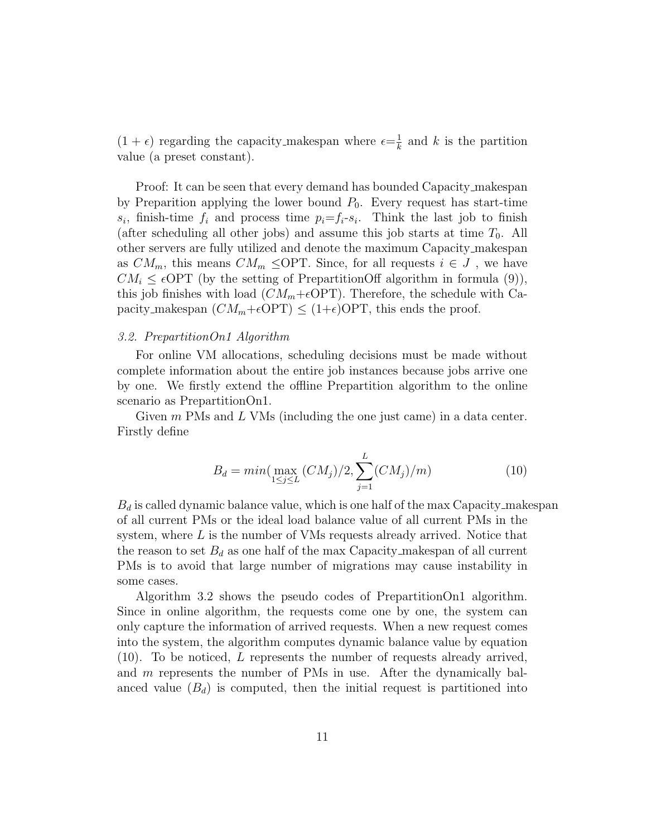$(1 + \epsilon)$  regarding the capacity makespan where  $\epsilon = \frac{1}{k}$  $\frac{1}{k}$  and k is the partition value (a preset constant).

Proof: It can be seen that every demand has bounded Capacity makespan by Preparition applying the lower bound  $P_0$ . Every request has start-time  $s_i$ , finish-time  $f_i$  and process time  $p_i = f_i - s_i$ . Think the last job to finish (after scheduling all other jobs) and assume this job starts at time  $T_0$ . All other servers are fully utilized and denote the maximum Capacity makespan as  $CM_m$ , this means  $CM_m \leq \text{OPT}$ . Since, for all requests  $i \in J$ , we have  $CM_i \leq \epsilon$ OPT (by the setting of PrepartitionOff algorithm in formula (9)), this job finishes with load  $(CM_m+\epsilon \text{OPT})$ . Therefore, the schedule with Capacity makespan  $(CM_m+\epsilon \text{OPT}) \leq (1+\epsilon) \text{OPT}$ , this ends the proof.

#### 3.2. PrepartitionOn1 Algorithm

For online VM allocations, scheduling decisions must be made without complete information about the entire job instances because jobs arrive one by one. We firstly extend the offline Prepartition algorithm to the online scenario as PrepartitionOn1.

Given  $m$  PMs and  $L$  VMs (including the one just came) in a data center. Firstly define

$$
B_d = \min(\max_{1 \le j \le L} (CM_j)/2, \sum_{j=1}^L (CM_j)/m)
$$
 (10)

 $B_d$  is called dynamic balance value, which is one half of the max Capacity makespan of all current PMs or the ideal load balance value of all current PMs in the system, where  $L$  is the number of VMs requests already arrived. Notice that the reason to set  $B_d$  as one half of the max Capacity makespan of all current PMs is to avoid that large number of migrations may cause instability in some cases.

Algorithm 3.2 shows the pseudo codes of PrepartitionOn1 algorithm. Since in online algorithm, the requests come one by one, the system can only capture the information of arrived requests. When a new request comes into the system, the algorithm computes dynamic balance value by equation (10). To be noticed, L represents the number of requests already arrived, and m represents the number of PMs in use. After the dynamically balanced value  $(B_d)$  is computed, then the initial request is partitioned into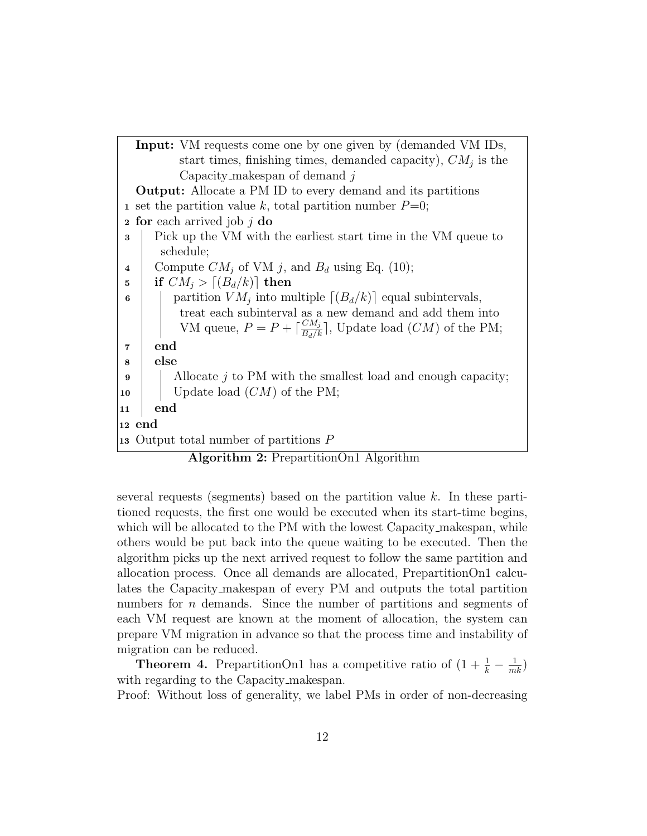| <b>Input:</b> VM requests come one by one given by (demanded VM IDs,                |
|-------------------------------------------------------------------------------------|
| start times, finishing times, demanded capacity), $CM_i$ is the                     |
| Capacity_makespan of demand $i$                                                     |
| <b>Output:</b> Allocate a PM ID to every demand and its partitions                  |
| 1 set the partition value k, total partition number $P=0$ ;                         |
| for each arrived job $j$ do<br>$\bf{2}$                                             |
| Pick up the VM with the earliest start time in the VM queue to<br>3                 |
| schedule;                                                                           |
| Compute $CM_j$ of VM j, and $B_d$ using Eq. (10);<br>4                              |
| if $CM_i > [(B_d/k)]$ then<br>5                                                     |
| partition $VM_i$ into multiple $[(B_d/k)]$ equal subintervals,<br>6                 |
| treat each subinterval as a new demand and add them into                            |
| VM queue, $P = P + \left[\frac{CM_j}{B_d/k}\right]$ , Update load $(CM)$ of the PM; |
| end<br>$\overline{7}$                                                               |
| else<br>8                                                                           |
| Allocate $j$ to PM with the smallest load and enough capacity;<br>9                 |
| Update load $(CM)$ of the PM;<br>10                                                 |
| end<br>11                                                                           |
| $ 12 \>$ end                                                                        |
| 13 Output total number of partitions $P$                                            |

Algorithm 2: PrepartitionOn1 Algorithm

several requests (segments) based on the partition value  $k$ . In these partitioned requests, the first one would be executed when its start-time begins, which will be allocated to the PM with the lowest Capacity makespan, while others would be put back into the queue waiting to be executed. Then the algorithm picks up the next arrived request to follow the same partition and allocation process. Once all demands are allocated, PrepartitionOn1 calculates the Capacity makespan of every PM and outputs the total partition numbers for *n* demands. Since the number of partitions and segments of each VM request are known at the moment of allocation, the system can prepare VM migration in advance so that the process time and instability of migration can be reduced.

**Theorem 4.** PrepartitionOn1 has a competitive ratio of  $(1 + \frac{1}{k} - \frac{1}{mk})$ with regarding to the Capacity makespan.

Proof: Without loss of generality, we label PMs in order of non-decreasing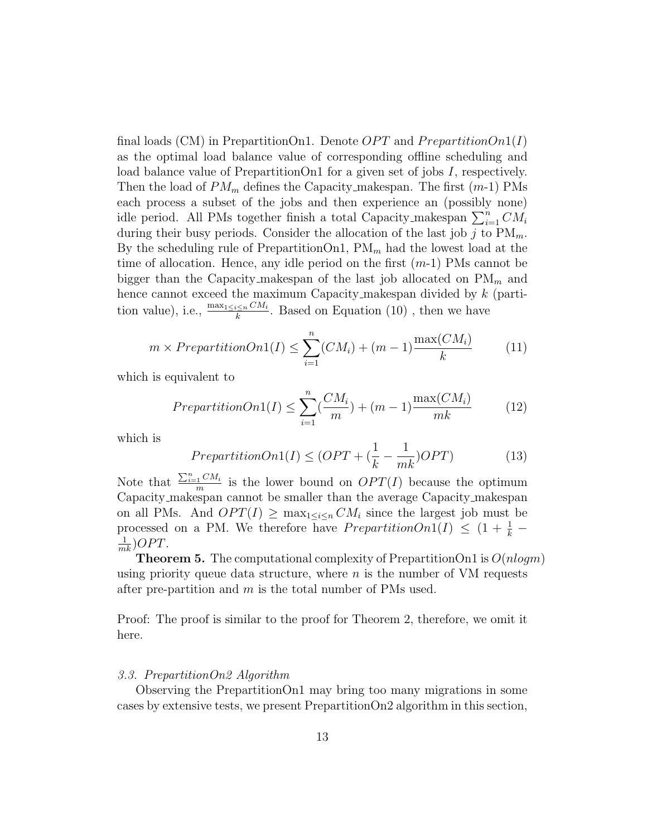final loads (CM) in PrepartitionOn1. Denote  $OPT$  and PrepartitionOn1(I) as the optimal load balance value of corresponding offline scheduling and load balance value of PrepartitionOn1 for a given set of jobs I, respectively. Then the load of  $PM_m$  defines the Capacity makespan. The first  $(m-1)$  PMs each process a subset of the jobs and then experience an (possibly none) idle period. All PMs together finish a total Capacity makespan  $\sum_{i=1}^{n} CM_i$ during their busy periods. Consider the allocation of the last job j to  $PM_m$ . By the scheduling rule of Prepartition $\text{On}1$ ,  $\text{PM}_m$  had the lowest load at the time of allocation. Hence, any idle period on the first  $(m-1)$  PMs cannot be bigger than the Capacity makespan of the last job allocated on  $\mathrm{PM}_m$  and hence cannot exceed the maximum Capacity makespan divided by  $k$  (partition value), i.e.,  $\frac{\max_{1 \leq i \leq n} CM_i}{k}$ . Based on Equation (10), then we have

$$
m \times PrepartitionOn1(I) \leq \sum_{i=1}^{n} (CM_i) + (m-1) \frac{\max(CM_i)}{k}
$$
 (11)

which is equivalent to

$$
PrepartitionOn1(I) \leq \sum_{i=1}^{n} \left(\frac{CM_i}{m}\right) + (m-1)\frac{\max(CM_i)}{mk} \tag{12}
$$

which is

$$
PrepartitionOn1(I) \le (OPT + (\frac{1}{k} - \frac{1}{mk})OPT)
$$
\n(13)

Note that  $\frac{\sum_{i=1}^{n} CM_i}{m}$  $\frac{1}{m}$  is the lower bound on  $OPT(I)$  because the optimum Capacity makespan cannot be smaller than the average Capacity makespan on all PMs. And  $OPT(I) \ge \max_{1 \le i \le n} CM_i$  since the largest job must be processed on a PM. We therefore have  $PrepartitionOn1(I) \leq (1 + \frac{1}{k})$  $\frac{1}{mk}$ )OPT.

**Theorem 5.** The computational complexity of PrepartitionOn1 is  $O(n \log m)$ using priority queue data structure, where  $n$  is the number of VM requests after pre-partition and  $m$  is the total number of PMs used.

Proof: The proof is similar to the proof for Theorem 2, therefore, we omit it here.

# 3.3. PrepartitionOn2 Algorithm

Observing the PrepartitionOn1 may bring too many migrations in some cases by extensive tests, we present PrepartitionOn2 algorithm in this section,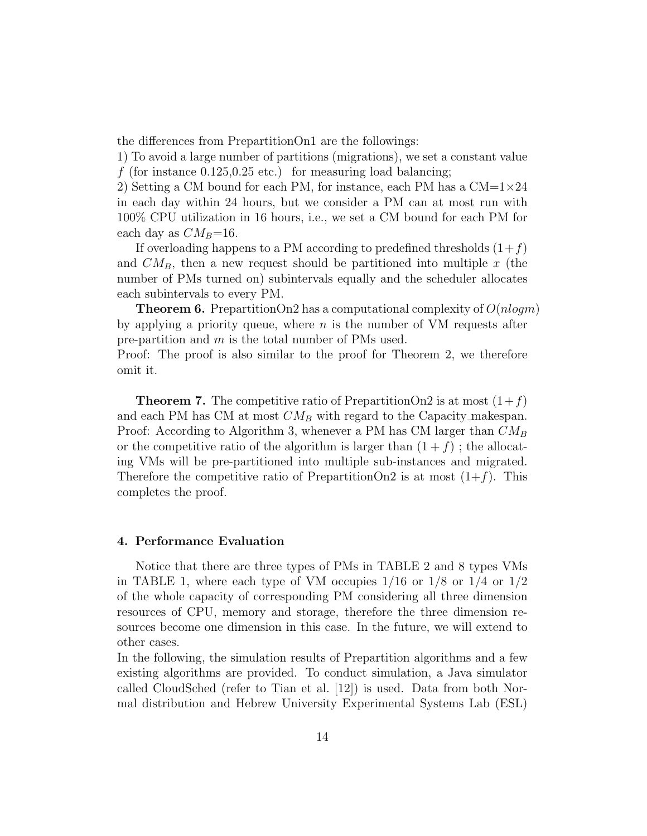the differences from PrepartitionOn1 are the followings:

1) To avoid a large number of partitions (migrations), we set a constant value f (for instance  $0.125, 0.25$  etc.) for measuring load balancing;

2) Setting a CM bound for each PM, for instance, each PM has a  $CM=1\times24$ in each day within 24 hours, but we consider a PM can at most run with 100% CPU utilization in 16 hours, i.e., we set a CM bound for each PM for each day as  $CM_B=16$ .

If overloading happens to a PM according to predefined thresholds  $(1+f)$ and  $CM_B$ , then a new request should be partitioned into multiple x (the number of PMs turned on) subintervals equally and the scheduler allocates each subintervals to every PM.

**Theorem 6.** PrepartitionOn2 has a computational complexity of  $O(nlogm)$ by applying a priority queue, where  $n$  is the number of VM requests after pre-partition and m is the total number of PMs used.

Proof: The proof is also similar to the proof for Theorem 2, we therefore omit it.

**Theorem 7.** The competitive ratio of PrepartitionOn2 is at most  $(1+f)$ and each PM has CM at most  $CM_B$  with regard to the Capacity makespan. Proof: According to Algorithm 3, whenever a PM has CM larger than  $CM_B$ or the competitive ratio of the algorithm is larger than  $(1 + f)$ ; the allocating VMs will be pre-partitioned into multiple sub-instances and migrated. Therefore the competitive ratio of PrepartitionOn2 is at most  $(1+f)$ . This completes the proof.

#### 4. Performance Evaluation

Notice that there are three types of PMs in TABLE 2 and 8 types VMs in TABLE 1, where each type of VM occupies  $1/16$  or  $1/8$  or  $1/4$  or  $1/2$ of the whole capacity of corresponding PM considering all three dimension resources of CPU, memory and storage, therefore the three dimension resources become one dimension in this case. In the future, we will extend to other cases.

In the following, the simulation results of Prepartition algorithms and a few existing algorithms are provided. To conduct simulation, a Java simulator called CloudSched (refer to Tian et al. [12]) is used. Data from both Normal distribution and Hebrew University Experimental Systems Lab (ESL)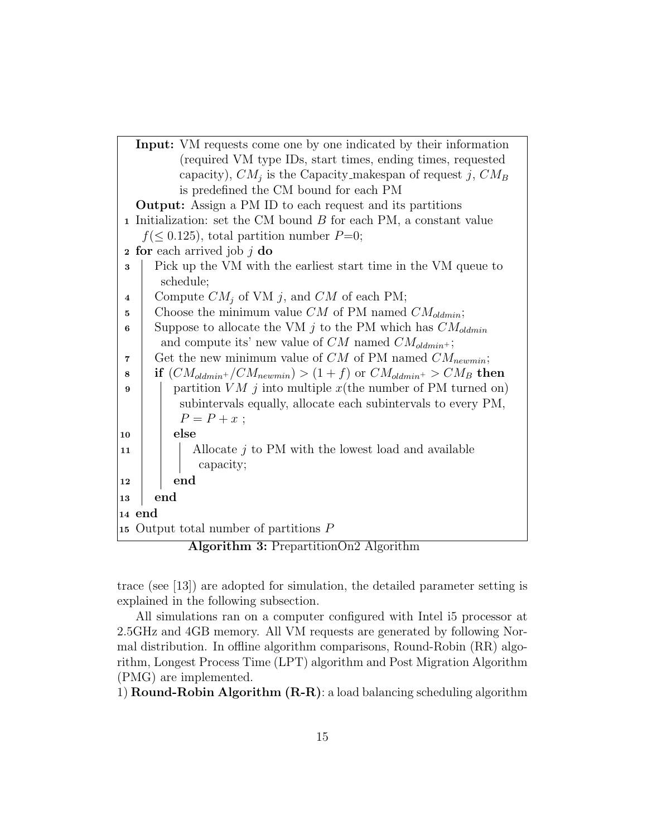

Algorithm 3: PrepartitionOn2 Algorithm

trace (see [13]) are adopted for simulation, the detailed parameter setting is explained in the following subsection.

All simulations ran on a computer configured with Intel i5 processor at 2.5GHz and 4GB memory. All VM requests are generated by following Normal distribution. In offline algorithm comparisons, Round-Robin (RR) algorithm, Longest Process Time (LPT) algorithm and Post Migration Algorithm (PMG) are implemented.

1) **Round-Robin Algorithm**  $(R-R)$ **:** a load balancing scheduling algorithm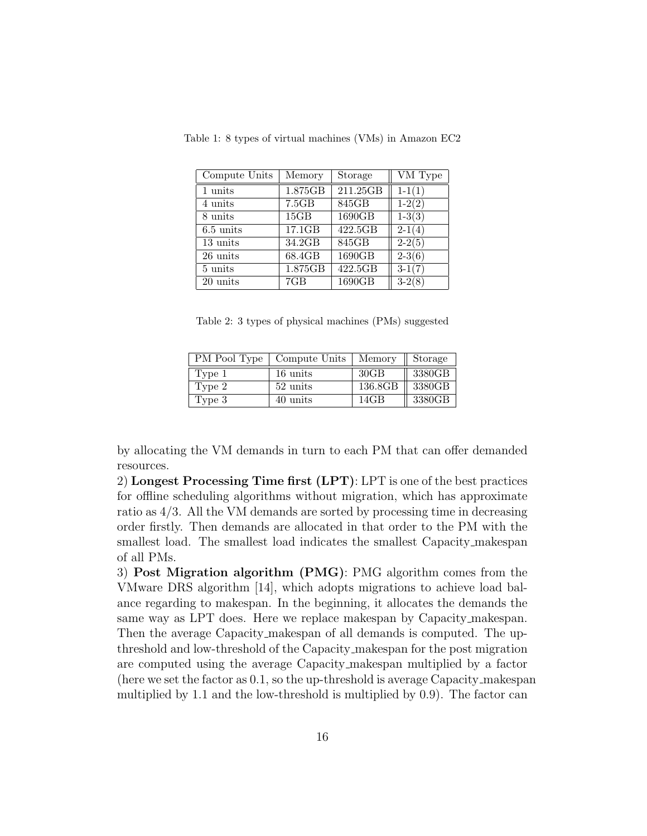| Compute Units       | Memory             | Storage                     | VM Type  |
|---------------------|--------------------|-----------------------------|----------|
| 1 units             | 1.875GB            | 211.25GB                    | $1-1(1)$ |
| 4 units             | $7.5\overline{GB}$ | 845GB                       | $1-2(2)$ |
| 8 units             | 15GB               | 1690GB                      | $1-3(3)$ |
| $6.5 \text{ units}$ | 17.1GB             | 422.5GB                     | $2-1(4)$ |
| 13 units            | 34.2GB             | $8\overline{45\mathrm{GB}}$ | $2-2(5)$ |
| 26 units            | 68.4GB             | 1690GB                      | $2-3(6)$ |
| 5 units             | 1.875GB            | 422.5GB                     | $3-1(7)$ |
| 20 units            | 7GB                | 1690GB                      | $3-2(8)$ |

Table 1: 8 types of virtual machines (VMs) in Amazon EC2

Table 2: 3 types of physical machines (PMs) suggested

|        | PM Pool Type   Compute Units | Memory  | $\parallel$ Storage |
|--------|------------------------------|---------|---------------------|
| Type 1 | 16 units                     | 30GB    | 3380GB              |
| Type 2 | 52 units                     | 136.8GB | 3380GB              |
| Type 3 | 40 units                     | 14GB    | 3380GB              |

by allocating the VM demands in turn to each PM that can offer demanded resources.

2) Longest Processing Time first (LPT): LPT is one of the best practices for offline scheduling algorithms without migration, which has approximate ratio as 4/3. All the VM demands are sorted by processing time in decreasing order firstly. Then demands are allocated in that order to the PM with the smallest load. The smallest load indicates the smallest Capacity makespan of all PMs.

3) Post Migration algorithm (PMG): PMG algorithm comes from the VMware DRS algorithm [14], which adopts migrations to achieve load balance regarding to makespan. In the beginning, it allocates the demands the same way as LPT does. Here we replace makespan by Capacity makespan. Then the average Capacity makespan of all demands is computed. The upthreshold and low-threshold of the Capacity makespan for the post migration are computed using the average Capacity makespan multiplied by a factor (here we set the factor as 0.1, so the up-threshold is average Capacity makespan multiplied by 1.1 and the low-threshold is multiplied by 0.9). The factor can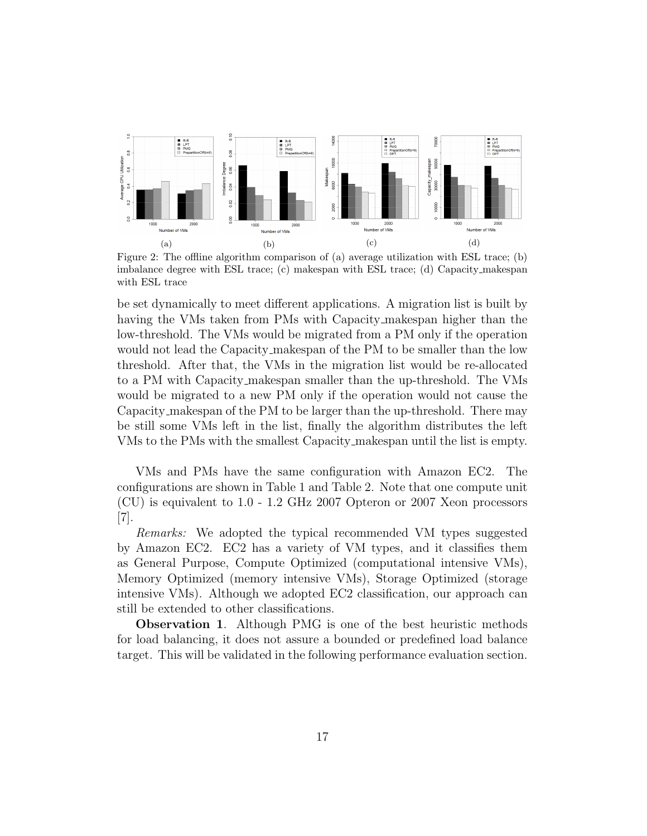

Figure 2: The offline algorithm comparison of (a) average utilization with ESL trace; (b) imbalance degree with ESL trace; (c) makespan with ESL trace; (d) Capacity makespan with ESL trace

be set dynamically to meet different applications. A migration list is built by having the VMs taken from PMs with Capacity makespan higher than the low-threshold. The VMs would be migrated from a PM only if the operation would not lead the Capacity makespan of the PM to be smaller than the low threshold. After that, the VMs in the migration list would be re-allocated to a PM with Capacity makespan smaller than the up-threshold. The VMs would be migrated to a new PM only if the operation would not cause the Capacity makespan of the PM to be larger than the up-threshold. There may be still some VMs left in the list, finally the algorithm distributes the left VMs to the PMs with the smallest Capacity makespan until the list is empty.

VMs and PMs have the same configuration with Amazon EC2. The configurations are shown in Table 1 and Table 2. Note that one compute unit (CU) is equivalent to 1.0 - 1.2 GHz 2007 Opteron or 2007 Xeon processors [7].

Remarks: We adopted the typical recommended VM types suggested by Amazon EC2. EC2 has a variety of VM types, and it classifies them as General Purpose, Compute Optimized (computational intensive VMs), Memory Optimized (memory intensive VMs), Storage Optimized (storage intensive VMs). Although we adopted EC2 classification, our approach can still be extended to other classifications.

Observation 1. Although PMG is one of the best heuristic methods for load balancing, it does not assure a bounded or predefined load balance target. This will be validated in the following performance evaluation section.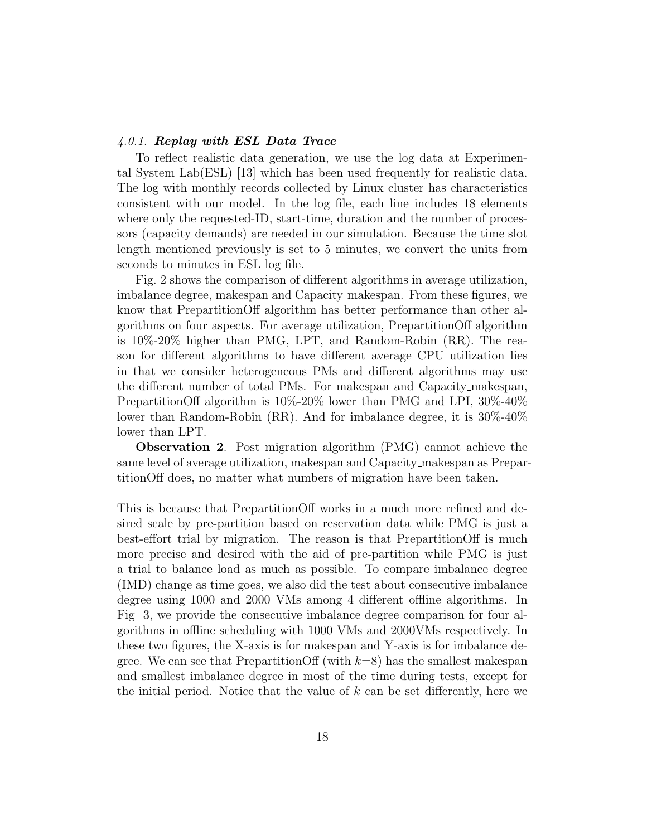#### 4.0.1. Replay with ESL Data Trace

To reflect realistic data generation, we use the log data at Experimental System Lab(ESL) [13] which has been used frequently for realistic data. The log with monthly records collected by Linux cluster has characteristics consistent with our model. In the log file, each line includes 18 elements where only the requested-ID, start-time, duration and the number of processors (capacity demands) are needed in our simulation. Because the time slot length mentioned previously is set to 5 minutes, we convert the units from seconds to minutes in ESL log file.

Fig. 2 shows the comparison of different algorithms in average utilization, imbalance degree, makespan and Capacity makespan. From these figures, we know that PrepartitionOff algorithm has better performance than other algorithms on four aspects. For average utilization, PrepartitionOff algorithm is 10%-20% higher than PMG, LPT, and Random-Robin (RR). The reason for different algorithms to have different average CPU utilization lies in that we consider heterogeneous PMs and different algorithms may use the different number of total PMs. For makespan and Capacity makespan, PrepartitionOff algorithm is 10%-20% lower than PMG and LPI, 30%-40% lower than Random-Robin (RR). And for imbalance degree, it is 30%-40% lower than LPT.

Observation 2. Post migration algorithm (PMG) cannot achieve the same level of average utilization, makespan and Capacity makespan as PrepartitionOff does, no matter what numbers of migration have been taken.

This is because that PrepartitionOff works in a much more refined and desired scale by pre-partition based on reservation data while PMG is just a best-effort trial by migration. The reason is that PrepartitionOff is much more precise and desired with the aid of pre-partition while PMG is just a trial to balance load as much as possible. To compare imbalance degree (IMD) change as time goes, we also did the test about consecutive imbalance degree using 1000 and 2000 VMs among 4 different offline algorithms. In Fig 3, we provide the consecutive imbalance degree comparison for four algorithms in offline scheduling with 1000 VMs and 2000VMs respectively. In these two figures, the X-axis is for makespan and Y-axis is for imbalance degree. We can see that PrepartitionOff (with  $k=8$ ) has the smallest makespan and smallest imbalance degree in most of the time during tests, except for the initial period. Notice that the value of  $k$  can be set differently, here we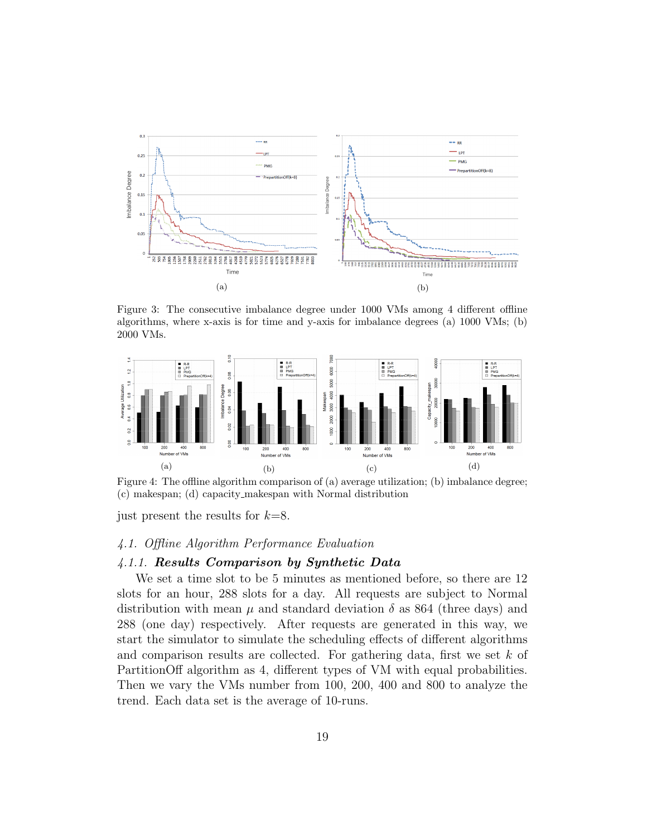

Figure 3: The consecutive imbalance degree under 1000 VMs among 4 different offline algorithms, where x-axis is for time and y-axis for imbalance degrees (a) 1000 VMs; (b) 2000 VMs.



Figure 4: The offline algorithm comparison of (a) average utilization; (b) imbalance degree; (c) makespan; (d) capacity makespan with Normal distribution

just present the results for  $k=8$ .

#### 4.1. Offline Algorithm Performance Evaluation

#### 4.1.1. Results Comparison by Synthetic Data

We set a time slot to be 5 minutes as mentioned before, so there are 12 slots for an hour, 288 slots for a day. All requests are subject to Normal distribution with mean  $\mu$  and standard deviation  $\delta$  as 864 (three days) and 288 (one day) respectively. After requests are generated in this way, we start the simulator to simulate the scheduling effects of different algorithms and comparison results are collected. For gathering data, first we set k of PartitionOff algorithm as 4, different types of VM with equal probabilities. Then we vary the VMs number from 100, 200, 400 and 800 to analyze the trend. Each data set is the average of 10-runs.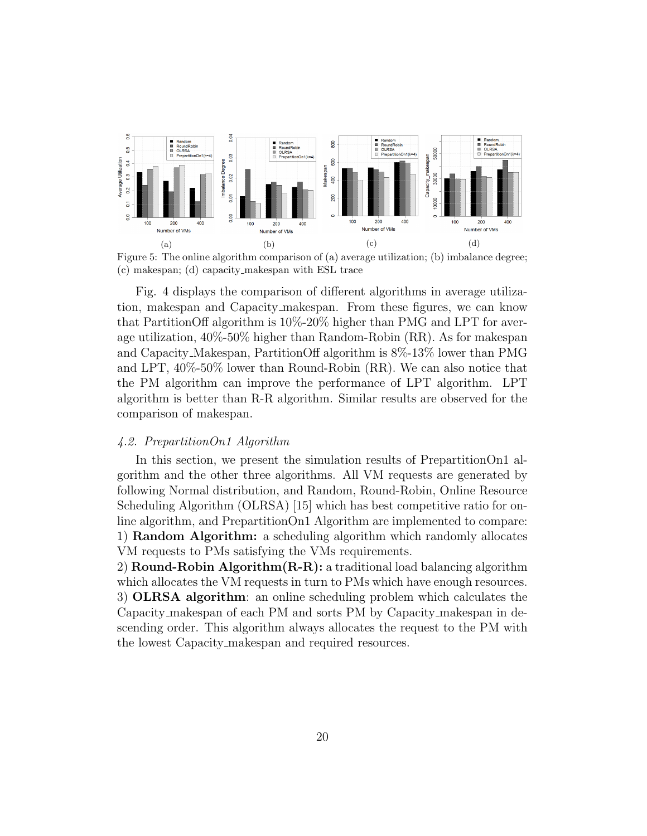

Figure 5: The online algorithm comparison of (a) average utilization; (b) imbalance degree; (c) makespan; (d) capacity makespan with ESL trace

Fig. 4 displays the comparison of different algorithms in average utilization, makespan and Capacity makespan. From these figures, we can know that PartitionOff algorithm is 10%-20% higher than PMG and LPT for average utilization, 40%-50% higher than Random-Robin (RR). As for makespan and Capacity Makespan, PartitionOff algorithm is 8%-13% lower than PMG and LPT, 40%-50% lower than Round-Robin (RR). We can also notice that the PM algorithm can improve the performance of LPT algorithm. LPT algorithm is better than R-R algorithm. Similar results are observed for the comparison of makespan.

#### 4.2. PrepartitionOn1 Algorithm

In this section, we present the simulation results of PrepartitionOn1 algorithm and the other three algorithms. All VM requests are generated by following Normal distribution, and Random, Round-Robin, Online Resource Scheduling Algorithm (OLRSA) [15] which has best competitive ratio for online algorithm, and PrepartitionOn1 Algorithm are implemented to compare: 1) Random Algorithm: a scheduling algorithm which randomly allocates VM requests to PMs satisfying the VMs requirements.

2) **Round-Robin Algorithm**  $(R-R)$ : a traditional load balancing algorithm which allocates the VM requests in turn to PMs which have enough resources. 3) OLRSA algorithm: an online scheduling problem which calculates the Capacity makespan of each PM and sorts PM by Capacity makespan in descending order. This algorithm always allocates the request to the PM with the lowest Capacity makespan and required resources.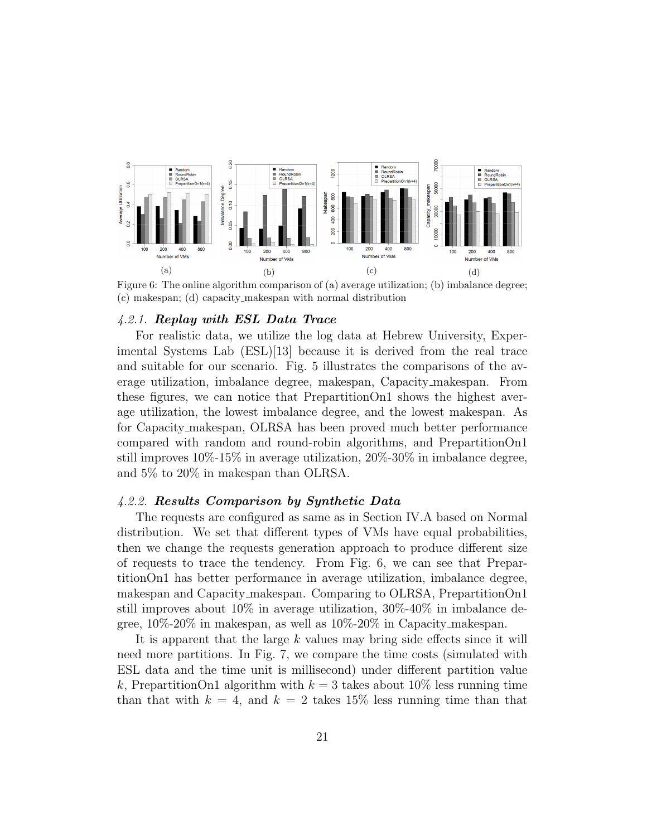

Figure 6: The online algorithm comparison of (a) average utilization; (b) imbalance degree; (c) makespan; (d) capacity makespan with normal distribution

#### 4.2.1. Replay with ESL Data Trace

For realistic data, we utilize the log data at Hebrew University, Experimental Systems Lab (ESL)[13] because it is derived from the real trace and suitable for our scenario. Fig. 5 illustrates the comparisons of the average utilization, imbalance degree, makespan, Capacity makespan. From these figures, we can notice that PrepartitionOn1 shows the highest average utilization, the lowest imbalance degree, and the lowest makespan. As for Capacity makespan, OLRSA has been proved much better performance compared with random and round-robin algorithms, and PrepartitionOn1 still improves 10%-15% in average utilization, 20%-30% in imbalance degree, and 5% to 20% in makespan than OLRSA.

#### 4.2.2. Results Comparison by Synthetic Data

The requests are configured as same as in Section IV.A based on Normal distribution. We set that different types of VMs have equal probabilities, then we change the requests generation approach to produce different size of requests to trace the tendency. From Fig. 6, we can see that PrepartitionOn1 has better performance in average utilization, imbalance degree, makespan and Capacity makespan. Comparing to OLRSA, PrepartitionOn1 still improves about 10% in average utilization, 30%-40% in imbalance degree, 10%-20% in makespan, as well as 10%-20% in Capacity makespan.

It is apparent that the large  $k$  values may bring side effects since it will need more partitions. In Fig. 7, we compare the time costs (simulated with ESL data and the time unit is millisecond) under different partition value k, PrepartitionOn1 algorithm with  $k = 3$  takes about 10% less running time than that with  $k = 4$ , and  $k = 2$  takes 15% less running time than that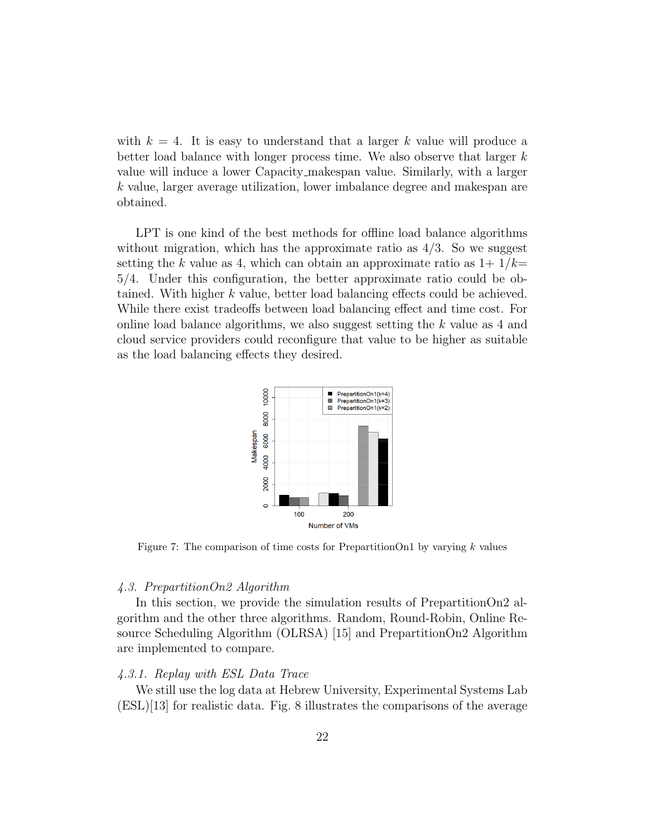with  $k = 4$ . It is easy to understand that a larger k value will produce a better load balance with longer process time. We also observe that larger  $k$ value will induce a lower Capacity makespan value. Similarly, with a larger k value, larger average utilization, lower imbalance degree and makespan are obtained.

LPT is one kind of the best methods for offline load balance algorithms without migration, which has the approximate ratio as  $4/3$ . So we suggest setting the k value as 4, which can obtain an approximate ratio as  $1+1/k=$ 5/4. Under this configuration, the better approximate ratio could be obtained. With higher k value, better load balancing effects could be achieved. While there exist tradeoffs between load balancing effect and time cost. For online load balance algorithms, we also suggest setting the k value as 4 and cloud service providers could reconfigure that value to be higher as suitable as the load balancing effects they desired.



Figure 7: The comparison of time costs for PrepartitionOn1 by varying  $k$  values

#### 4.3. PrepartitionOn2 Algorithm

In this section, we provide the simulation results of PrepartitionOn2 algorithm and the other three algorithms. Random, Round-Robin, Online Resource Scheduling Algorithm (OLRSA) [15] and PrepartitionOn2 Algorithm are implemented to compare.

#### 4.3.1. Replay with ESL Data Trace

We still use the log data at Hebrew University, Experimental Systems Lab (ESL)[13] for realistic data. Fig. 8 illustrates the comparisons of the average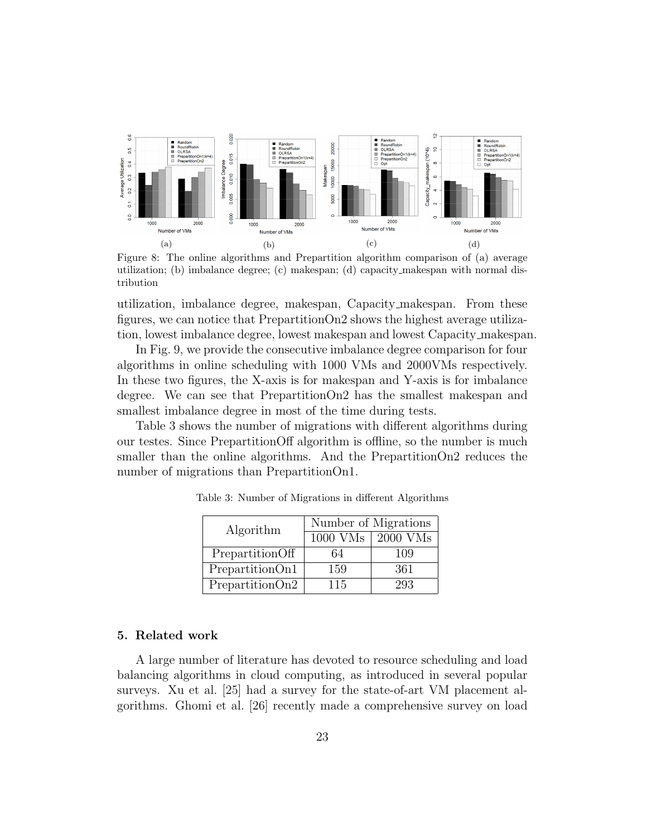

Figure 8: The online algorithms and Prepartition algorithm comparison of (a) average utilization; (b) imbalance degree; (c) makespan; (d) capacity makespan with normal distribution

utilization, imbalance degree, makespan, Capacity makespan. From these figures, we can notice that PrepartitionOn2 shows the highest average utilization, lowest imbalance degree, lowest makespan and lowest Capacity makespan.

In Fig. 9, we provide the consecutive imbalance degree comparison for four algorithms in online scheduling with 1000 VMs and 2000VMs respectively. In these two figures, the X-axis is for makespan and Y-axis is for imbalance degree. We can see that PrepartitionOn2 has the smallest makespan and smallest imbalance degree in most of the time during tests.

Table 3 shows the number of migrations with different algorithms during our testes. Since PrepartitionOff algorithm is offline, so the number is much smaller than the online algorithms. And the PrepartitionOn2 reduces the number of migrations than PrepartitionOn1.

| Algorithm       | Number of Migrations |          |  |  |  |  |  |
|-----------------|----------------------|----------|--|--|--|--|--|
|                 | $1000$ VMs           | 2000 VMs |  |  |  |  |  |
| PrepartitionOff | 64                   | 109      |  |  |  |  |  |
| PrepartitionOn1 | 159                  | 361      |  |  |  |  |  |
| PrepartitionOn2 | 115                  | 293      |  |  |  |  |  |

Table 3: Number of Migrations in different Algorithms

#### 5. Related work

A large number of literature has devoted to resource scheduling and load balancing algorithms in cloud computing, as introduced in several popular surveys. Xu et al. [25] had a survey for the state-of-art VM placement algorithms. Ghomi et al. [26] recently made a comprehensive survey on load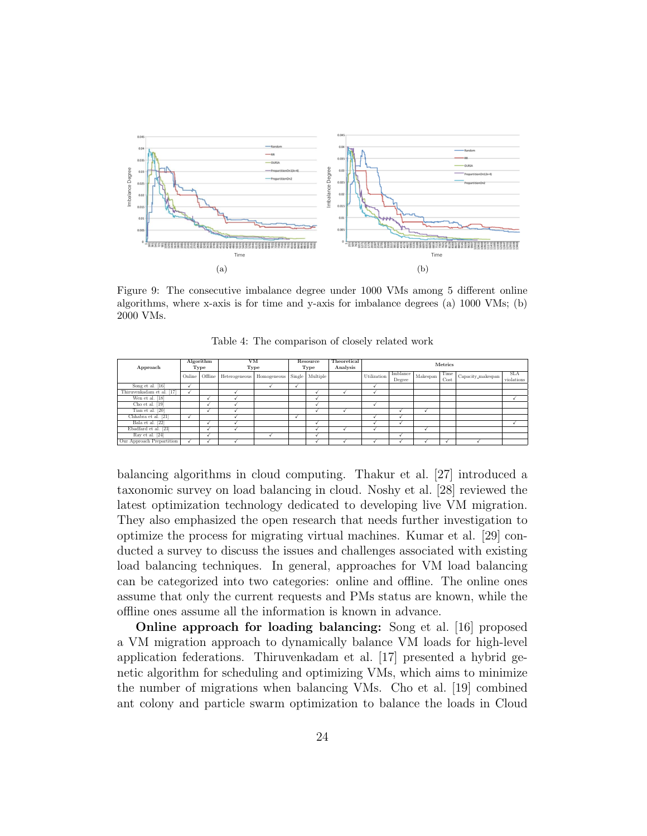

Figure 9: The consecutive imbalance degree under 1000 VMs among 5 different online algorithms, where x-axis is for time and y-axis for imbalance degrees (a) 1000 VMs; (b) 2000 VMs.

| Approach                  |        | Algorithm<br>Type | <b>VM</b><br>Type |             |        | Resource<br>Type | Theoretical<br>Analysis | Metrics     |                    |          |              |                   |                            |
|---------------------------|--------|-------------------|-------------------|-------------|--------|------------------|-------------------------|-------------|--------------------|----------|--------------|-------------------|----------------------------|
|                           | Online | Offline           | Heterogeneous     | Homogeneous | Single | Multiple         |                         | Utilization | Imblance<br>Degree | Makespan | Time<br>Cost | Capacity_makespan | <b>SLA</b><br>$violations$ |
| Song et al. [16]          |        |                   |                   |             |        |                  |                         |             |                    |          |              |                   |                            |
| Thiruvenkadam et al. [17] |        |                   |                   |             |        |                  |                         |             |                    |          |              |                   |                            |
| Wen et al. [18]           |        |                   |                   |             |        | √                |                         |             |                    |          |              |                   |                            |
| Cho et al. $[19]$         |        |                   |                   |             |        |                  |                         |             |                    |          |              |                   |                            |
| Tian et al. [20]          |        |                   |                   |             |        | ✓                |                         |             |                    |          |              |                   |                            |
| Chhabra et al. [21]       |        |                   |                   |             |        |                  |                         |             |                    |          |              |                   |                            |
| Bala et al. [22]          |        |                   |                   |             |        |                  |                         |             |                    |          |              |                   |                            |
| Ebadfard et al. [23]      |        |                   |                   |             |        | ↵                |                         |             |                    |          |              |                   |                            |
| Ray et al. [24]           |        |                   |                   |             |        |                  |                         |             |                    |          |              |                   |                            |
| Our Approach Prepartition |        |                   |                   |             |        |                  |                         |             |                    |          |              |                   |                            |

Table 4: The comparison of closely related work

balancing algorithms in cloud computing. Thakur et al. [27] introduced a taxonomic survey on load balancing in cloud. Noshy et al. [28] reviewed the latest optimization technology dedicated to developing live VM migration. They also emphasized the open research that needs further investigation to optimize the process for migrating virtual machines. Kumar et al. [29] conducted a survey to discuss the issues and challenges associated with existing load balancing techniques. In general, approaches for VM load balancing can be categorized into two categories: online and offline. The online ones assume that only the current requests and PMs status are known, while the offline ones assume all the information is known in advance.

Online approach for loading balancing: Song et al. [16] proposed a VM migration approach to dynamically balance VM loads for high-level application federations. Thiruvenkadam et al. [17] presented a hybrid genetic algorithm for scheduling and optimizing VMs, which aims to minimize the number of migrations when balancing VMs. Cho et al. [19] combined ant colony and particle swarm optimization to balance the loads in Cloud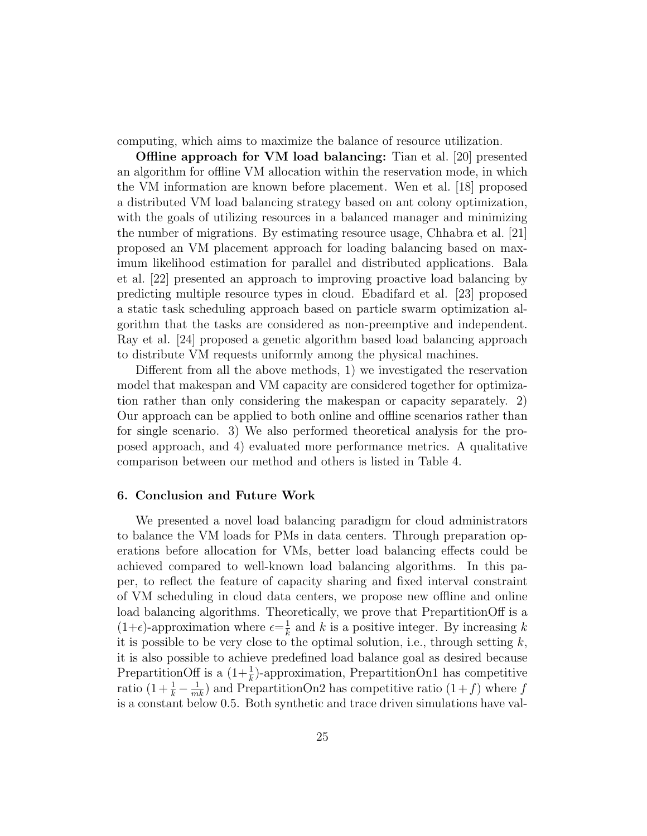computing, which aims to maximize the balance of resource utilization.

Offline approach for VM load balancing: Tian et al. [20] presented an algorithm for offline VM allocation within the reservation mode, in which the VM information are known before placement. Wen et al. [18] proposed a distributed VM load balancing strategy based on ant colony optimization, with the goals of utilizing resources in a balanced manager and minimizing the number of migrations. By estimating resource usage, Chhabra et al. [21] proposed an VM placement approach for loading balancing based on maximum likelihood estimation for parallel and distributed applications. Bala et al. [22] presented an approach to improving proactive load balancing by predicting multiple resource types in cloud. Ebadifard et al. [23] proposed a static task scheduling approach based on particle swarm optimization algorithm that the tasks are considered as non-preemptive and independent. Ray et al. [24] proposed a genetic algorithm based load balancing approach to distribute VM requests uniformly among the physical machines.

Different from all the above methods, 1) we investigated the reservation model that makespan and VM capacity are considered together for optimization rather than only considering the makespan or capacity separately. 2) Our approach can be applied to both online and offline scenarios rather than for single scenario. 3) We also performed theoretical analysis for the proposed approach, and 4) evaluated more performance metrics. A qualitative comparison between our method and others is listed in Table 4.

### 6. Conclusion and Future Work

We presented a novel load balancing paradigm for cloud administrators to balance the VM loads for PMs in data centers. Through preparation operations before allocation for VMs, better load balancing effects could be achieved compared to well-known load balancing algorithms. In this paper, to reflect the feature of capacity sharing and fixed interval constraint of VM scheduling in cloud data centers, we propose new offline and online load balancing algorithms. Theoretically, we prove that PrepartitionOff is a  $(1+\epsilon)$ -approximation where  $\epsilon = \frac{1}{k}$  $\frac{1}{k}$  and k is a positive integer. By increasing k it is possible to be very close to the optimal solution, i.e., through setting  $k$ , it is also possible to achieve predefined load balance goal as desired because PrepartitionOff is a  $(1+\frac{1}{k})$ -approximation, PrepartitionOn1 has competitive ratio  $(1 + \frac{1}{k} - \frac{1}{mk})$  and PrepartitionOn2 has competitive ratio  $(1+f)$  where f is a constant below 0.5. Both synthetic and trace driven simulations have val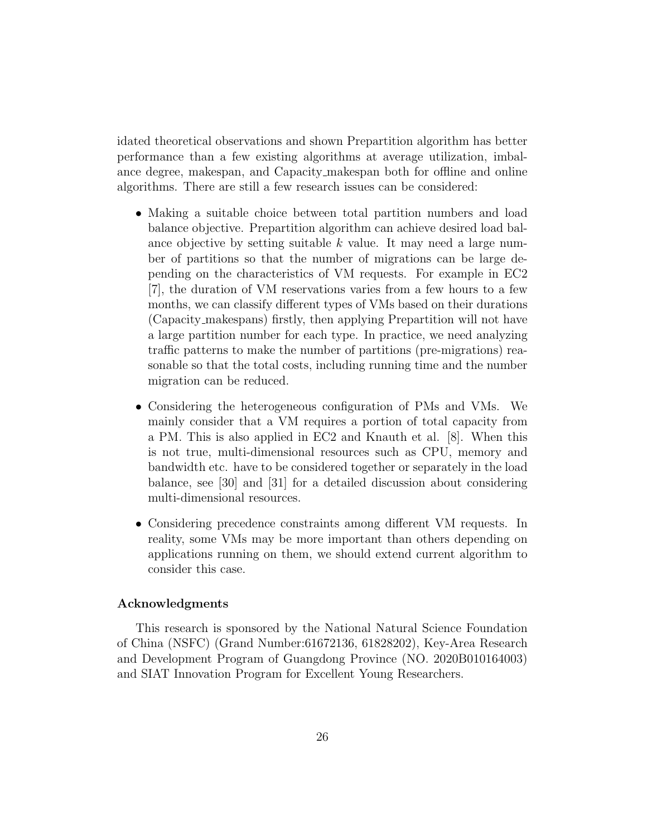idated theoretical observations and shown Prepartition algorithm has better performance than a few existing algorithms at average utilization, imbalance degree, makespan, and Capacity makespan both for offline and online algorithms. There are still a few research issues can be considered:

- Making a suitable choice between total partition numbers and load balance objective. Prepartition algorithm can achieve desired load balance objective by setting suitable  $k$  value. It may need a large number of partitions so that the number of migrations can be large depending on the characteristics of VM requests. For example in EC2 [7], the duration of VM reservations varies from a few hours to a few months, we can classify different types of VMs based on their durations (Capacity makespans) firstly, then applying Prepartition will not have a large partition number for each type. In practice, we need analyzing traffic patterns to make the number of partitions (pre-migrations) reasonable so that the total costs, including running time and the number migration can be reduced.
- Considering the heterogeneous configuration of PMs and VMs. We mainly consider that a VM requires a portion of total capacity from a PM. This is also applied in EC2 and Knauth et al. [8]. When this is not true, multi-dimensional resources such as CPU, memory and bandwidth etc. have to be considered together or separately in the load balance, see [30] and [31] for a detailed discussion about considering multi-dimensional resources.
- Considering precedence constraints among different VM requests. In reality, some VMs may be more important than others depending on applications running on them, we should extend current algorithm to consider this case.

# Acknowledgments

This research is sponsored by the National Natural Science Foundation of China (NSFC) (Grand Number:61672136, 61828202), Key-Area Research and Development Program of Guangdong Province (NO. 2020B010164003) and SIAT Innovation Program for Excellent Young Researchers.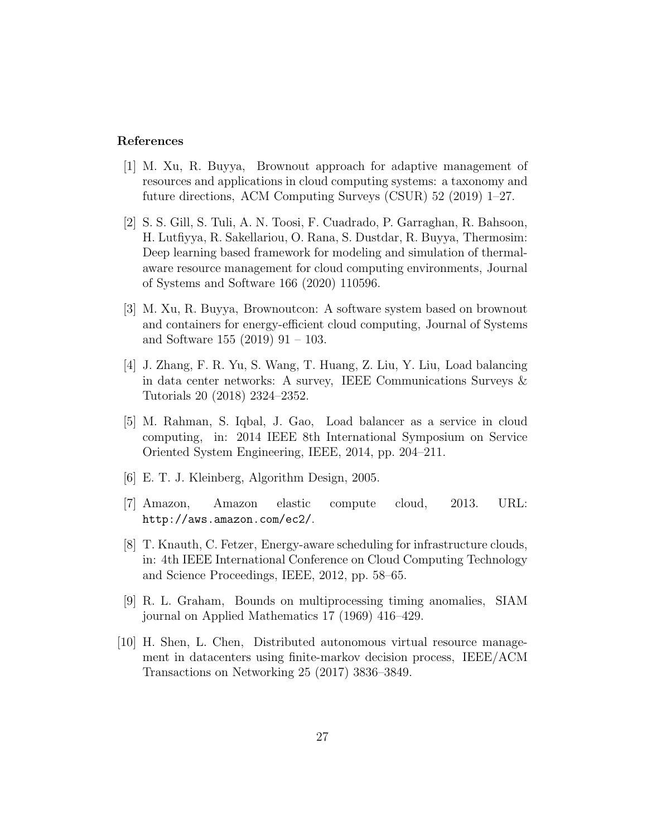## References

- [1] M. Xu, R. Buyya, Brownout approach for adaptive management of resources and applications in cloud computing systems: a taxonomy and future directions, ACM Computing Surveys (CSUR) 52 (2019) 1–27.
- [2] S. S. Gill, S. Tuli, A. N. Toosi, F. Cuadrado, P. Garraghan, R. Bahsoon, H. Lutfiyya, R. Sakellariou, O. Rana, S. Dustdar, R. Buyya, Thermosim: Deep learning based framework for modeling and simulation of thermalaware resource management for cloud computing environments, Journal of Systems and Software 166 (2020) 110596.
- [3] M. Xu, R. Buyya, Brownoutcon: A software system based on brownout and containers for energy-efficient cloud computing, Journal of Systems and Software 155 (2019) 91 – 103.
- [4] J. Zhang, F. R. Yu, S. Wang, T. Huang, Z. Liu, Y. Liu, Load balancing in data center networks: A survey, IEEE Communications Surveys & Tutorials 20 (2018) 2324–2352.
- [5] M. Rahman, S. Iqbal, J. Gao, Load balancer as a service in cloud computing, in: 2014 IEEE 8th International Symposium on Service Oriented System Engineering, IEEE, 2014, pp. 204–211.
- [6] E. T. J. Kleinberg, Algorithm Design, 2005.
- [7] Amazon, Amazon elastic compute cloud, 2013. URL: http://aws.amazon.com/ec2/.
- [8] T. Knauth, C. Fetzer, Energy-aware scheduling for infrastructure clouds, in: 4th IEEE International Conference on Cloud Computing Technology and Science Proceedings, IEEE, 2012, pp. 58–65.
- [9] R. L. Graham, Bounds on multiprocessing timing anomalies, SIAM journal on Applied Mathematics 17 (1969) 416–429.
- [10] H. Shen, L. Chen, Distributed autonomous virtual resource management in datacenters using finite-markov decision process, IEEE/ACM Transactions on Networking 25 (2017) 3836–3849.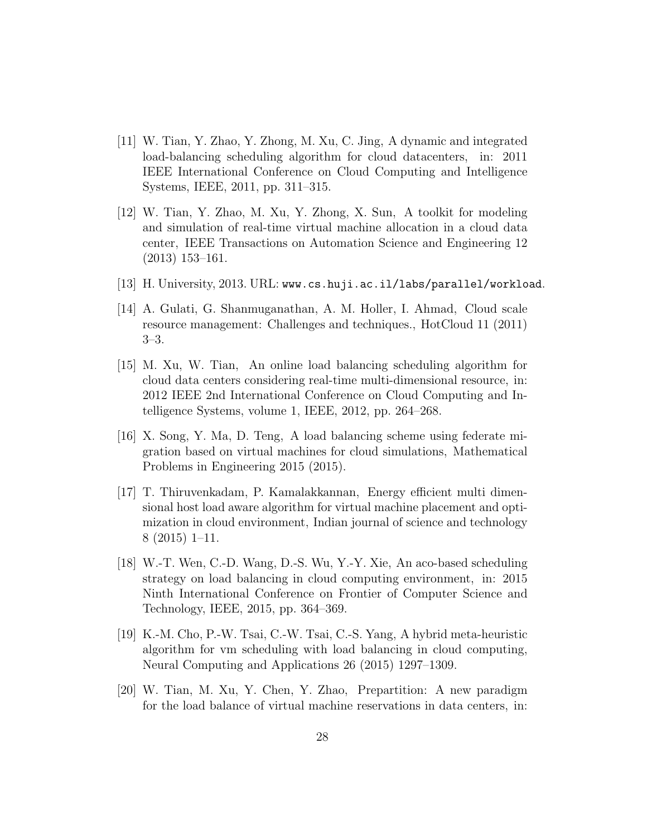- [11] W. Tian, Y. Zhao, Y. Zhong, M. Xu, C. Jing, A dynamic and integrated load-balancing scheduling algorithm for cloud datacenters, in: 2011 IEEE International Conference on Cloud Computing and Intelligence Systems, IEEE, 2011, pp. 311–315.
- [12] W. Tian, Y. Zhao, M. Xu, Y. Zhong, X. Sun, A toolkit for modeling and simulation of real-time virtual machine allocation in a cloud data center, IEEE Transactions on Automation Science and Engineering 12 (2013) 153–161.
- [13] H. University, 2013. URL: www.cs.huji.ac.il/labs/parallel/workload.
- [14] A. Gulati, G. Shanmuganathan, A. M. Holler, I. Ahmad, Cloud scale resource management: Challenges and techniques., HotCloud 11 (2011) 3–3.
- [15] M. Xu, W. Tian, An online load balancing scheduling algorithm for cloud data centers considering real-time multi-dimensional resource, in: 2012 IEEE 2nd International Conference on Cloud Computing and Intelligence Systems, volume 1, IEEE, 2012, pp. 264–268.
- [16] X. Song, Y. Ma, D. Teng, A load balancing scheme using federate migration based on virtual machines for cloud simulations, Mathematical Problems in Engineering 2015 (2015).
- [17] T. Thiruvenkadam, P. Kamalakkannan, Energy efficient multi dimensional host load aware algorithm for virtual machine placement and optimization in cloud environment, Indian journal of science and technology 8 (2015) 1–11.
- [18] W.-T. Wen, C.-D. Wang, D.-S. Wu, Y.-Y. Xie, An aco-based scheduling strategy on load balancing in cloud computing environment, in: 2015 Ninth International Conference on Frontier of Computer Science and Technology, IEEE, 2015, pp. 364–369.
- [19] K.-M. Cho, P.-W. Tsai, C.-W. Tsai, C.-S. Yang, A hybrid meta-heuristic algorithm for vm scheduling with load balancing in cloud computing, Neural Computing and Applications 26 (2015) 1297–1309.
- [20] W. Tian, M. Xu, Y. Chen, Y. Zhao, Prepartition: A new paradigm for the load balance of virtual machine reservations in data centers, in: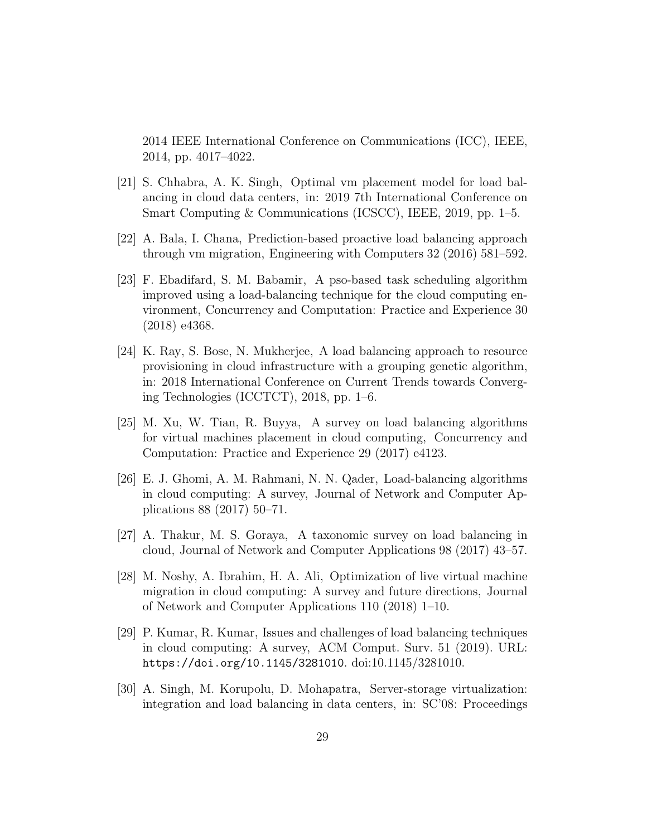2014 IEEE International Conference on Communications (ICC), IEEE, 2014, pp. 4017–4022.

- [21] S. Chhabra, A. K. Singh, Optimal vm placement model for load balancing in cloud data centers, in: 2019 7th International Conference on Smart Computing & Communications (ICSCC), IEEE, 2019, pp. 1–5.
- [22] A. Bala, I. Chana, Prediction-based proactive load balancing approach through vm migration, Engineering with Computers 32 (2016) 581–592.
- [23] F. Ebadifard, S. M. Babamir, A pso-based task scheduling algorithm improved using a load-balancing technique for the cloud computing environment, Concurrency and Computation: Practice and Experience 30 (2018) e4368.
- [24] K. Ray, S. Bose, N. Mukherjee, A load balancing approach to resource provisioning in cloud infrastructure with a grouping genetic algorithm, in: 2018 International Conference on Current Trends towards Converging Technologies (ICCTCT), 2018, pp. 1–6.
- [25] M. Xu, W. Tian, R. Buyya, A survey on load balancing algorithms for virtual machines placement in cloud computing, Concurrency and Computation: Practice and Experience 29 (2017) e4123.
- [26] E. J. Ghomi, A. M. Rahmani, N. N. Qader, Load-balancing algorithms in cloud computing: A survey, Journal of Network and Computer Applications 88 (2017) 50–71.
- [27] A. Thakur, M. S. Goraya, A taxonomic survey on load balancing in cloud, Journal of Network and Computer Applications 98 (2017) 43–57.
- [28] M. Noshy, A. Ibrahim, H. A. Ali, Optimization of live virtual machine migration in cloud computing: A survey and future directions, Journal of Network and Computer Applications 110 (2018) 1–10.
- [29] P. Kumar, R. Kumar, Issues and challenges of load balancing techniques in cloud computing: A survey, ACM Comput. Surv. 51 (2019). URL: https://doi.org/10.1145/3281010. doi:10.1145/3281010.
- [30] A. Singh, M. Korupolu, D. Mohapatra, Server-storage virtualization: integration and load balancing in data centers, in: SC'08: Proceedings